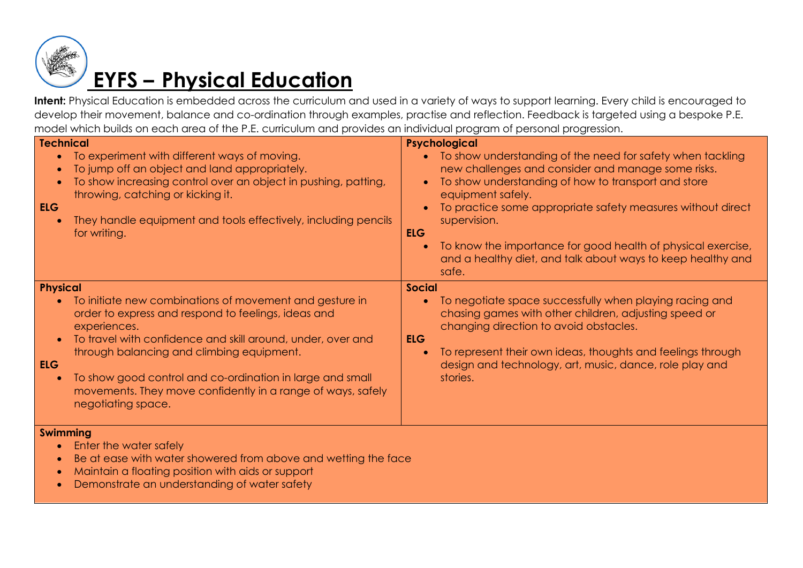

## **EYFS – Physical Education**

Intent: Physical Education is embedded across the curriculum and used in a variety of ways to support learning. Every child is encouraged to develop their movement, balance and co-ordination through examples, practise and reflection. Feedback is targeted using a bespoke P.E. model which builds on each area of the P.E. curriculum and provides an individual program of personal progression.

| <b>Technical</b><br><b>ELG</b>             | To experiment with different ways of moving.<br>To jump off an object and land appropriately.<br>To show increasing control over an object in pushing, patting,<br>throwing, catching or kicking it.<br>They handle equipment and tools effectively, including pencils<br>for writing.                                                                                                       | $\bullet$<br>$\bullet$<br><b>ELG</b><br>$\bullet$ | Psychological<br>To show understanding of the need for safety when tackling<br>new challenges and consider and manage some risks.<br>To show understanding of how to transport and store<br>equipment safely.<br>To practice some appropriate safety measures without direct<br>supervision.<br>To know the importance for good health of physical exercise,<br>and a healthy diet, and talk about ways to keep healthy and<br>safe. |
|--------------------------------------------|----------------------------------------------------------------------------------------------------------------------------------------------------------------------------------------------------------------------------------------------------------------------------------------------------------------------------------------------------------------------------------------------|---------------------------------------------------|--------------------------------------------------------------------------------------------------------------------------------------------------------------------------------------------------------------------------------------------------------------------------------------------------------------------------------------------------------------------------------------------------------------------------------------|
| <b>Physical</b><br><b>ELG</b><br>$\bullet$ | To initiate new combinations of movement and gesture in<br>order to express and respond to feelings, ideas and<br>experiences.<br>To travel with confidence and skill around, under, over and<br>through balancing and climbing equipment.<br>To show good control and co-ordination in large and small<br>movements. They move confidently in a range of ways, safely<br>negotiating space. | <b>Social</b><br>$\bullet$<br><b>ELG</b>          | To negotiate space successfully when playing racing and<br>chasing games with other children, adjusting speed or<br>changing direction to avoid obstacles.<br>To represent their own ideas, thoughts and feelings through<br>design and technology, art, music, dance, role play and<br>stories.                                                                                                                                     |
| <b>Swimming</b><br>$\bullet$               | Enter the water safely<br>Be at ease with water showered from above and wetting the face<br>Maintain a floating position with aids or support<br>Demonstrate an understanding of water safety                                                                                                                                                                                                |                                                   |                                                                                                                                                                                                                                                                                                                                                                                                                                      |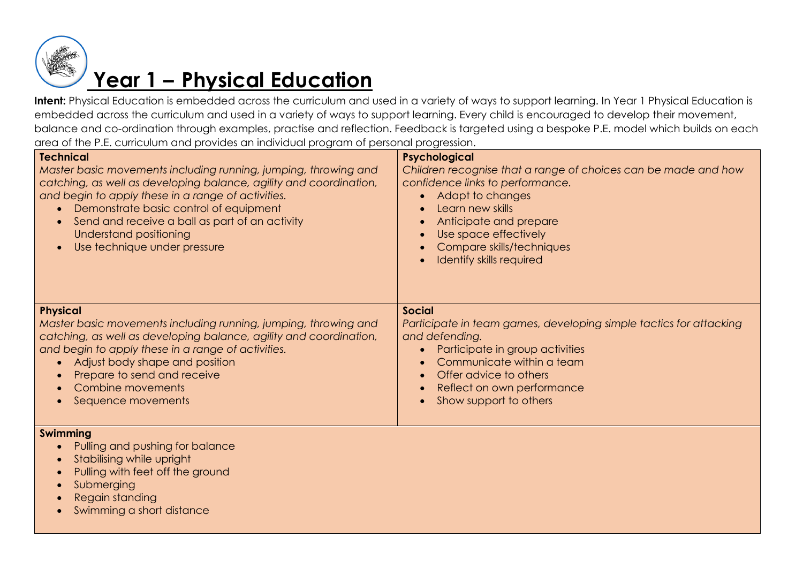

## **Year 1 – Physical Education**

Intent: Physical Education is embedded across the curriculum and used in a variety of ways to support learning. In Year 1 Physical Education is embedded across the curriculum and used in a variety of ways to support learning. Every child is encouraged to develop their movement, balance and co-ordination through examples, practise and reflection. Feedback is targeted using a bespoke P.E. model which builds on each area of the P.E. curriculum and provides an individual program of personal progression.

| <u>biolinese</u> etti tietuvese et biologi etti oli ple teoriet programati<br>Psychological                                                                                                                                                              |  |
|----------------------------------------------------------------------------------------------------------------------------------------------------------------------------------------------------------------------------------------------------------|--|
| Children recognise that a range of choices can be made and how<br>confidence links to performance.<br>• Adapt to changes<br>Learn new skills<br>Anticipate and prepare<br>Use space effectively<br>Compare skills/techniques<br>Identify skills required |  |
| <b>Social</b>                                                                                                                                                                                                                                            |  |
| Participate in team games, developing simple tactics for attacking<br>and defending.                                                                                                                                                                     |  |
| Participate in group activities                                                                                                                                                                                                                          |  |
| Communicate within a team<br>Offer advice to others                                                                                                                                                                                                      |  |
| Reflect on own performance                                                                                                                                                                                                                               |  |
| Show support to others                                                                                                                                                                                                                                   |  |
|                                                                                                                                                                                                                                                          |  |
|                                                                                                                                                                                                                                                          |  |
|                                                                                                                                                                                                                                                          |  |
|                                                                                                                                                                                                                                                          |  |
|                                                                                                                                                                                                                                                          |  |
|                                                                                                                                                                                                                                                          |  |
|                                                                                                                                                                                                                                                          |  |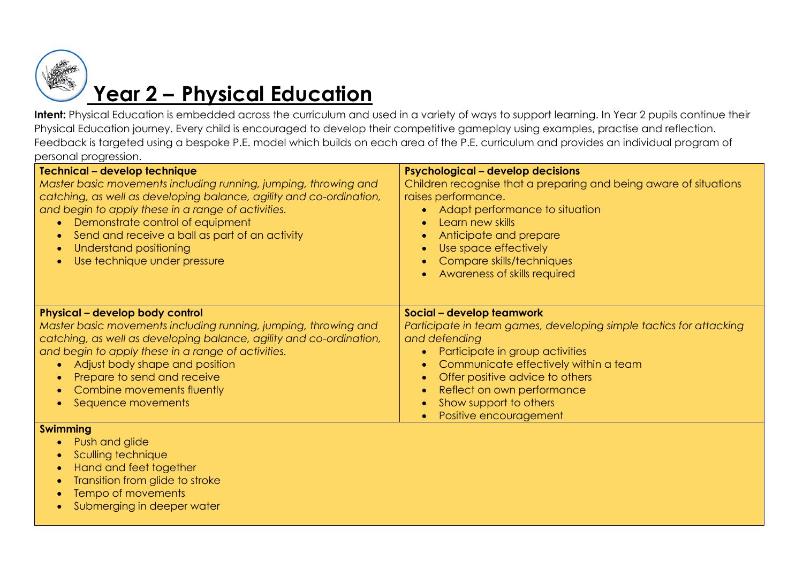

## **Year 2 – Physical Education**

Intent: Physical Education is embedded across the curriculum and used in a variety of ways to support learning. In Year 2 pupils continue their Physical Education journey. Every child is encouraged to develop their competitive gameplay using examples, practise and reflection. Feedback is targeted using a bespoke P.E. model which builds on each area of the P.E. curriculum and provides an individual program of personal progression.

| <b>Technical - develop technique</b><br>Master basic movements including running, jumping, throwing and<br>catching, as well as developing balance, agility and co-ordination,<br>and begin to apply these in a range of activities.<br>Demonstrate control of equipment<br>Send and receive a ball as part of an activity<br>٠<br>Understand positioning<br>$\bullet$<br>Use technique under pressure | <b>Psychological - develop decisions</b><br>Children recognise that a preparing and being aware of situations<br>raises performance.<br>Adapt performance to situation<br>Learn new skills<br>Anticipate and prepare<br>Use space effectively<br>Compare skills/techniques<br>Awareness of skills required        |
|--------------------------------------------------------------------------------------------------------------------------------------------------------------------------------------------------------------------------------------------------------------------------------------------------------------------------------------------------------------------------------------------------------|-------------------------------------------------------------------------------------------------------------------------------------------------------------------------------------------------------------------------------------------------------------------------------------------------------------------|
| Physical - develop body control<br>Master basic movements including running, jumping, throwing and<br>catching, as well as developing balance, agility and co-ordination,<br>and begin to apply these in a range of activities.<br>Adjust body shape and position<br>Prepare to send and receive<br>Combine movements fluently<br>$\bullet$<br>Sequence movements<br>$\bullet$                         | Social - develop teamwork<br>Participate in team games, developing simple tactics for attacking<br>and defending<br>Participate in group activities<br>Communicate effectively within a team<br>Offer positive advice to others<br>Reflect on own performance<br>Show support to others<br>Positive encouragement |
| <b>Swimming</b><br>Push and glide<br>Sculling technique<br>Hand and feet together<br>$\bullet$<br>Transition from glide to stroke<br>Tempo of movements                                                                                                                                                                                                                                                |                                                                                                                                                                                                                                                                                                                   |

**•** Submerging in deeper water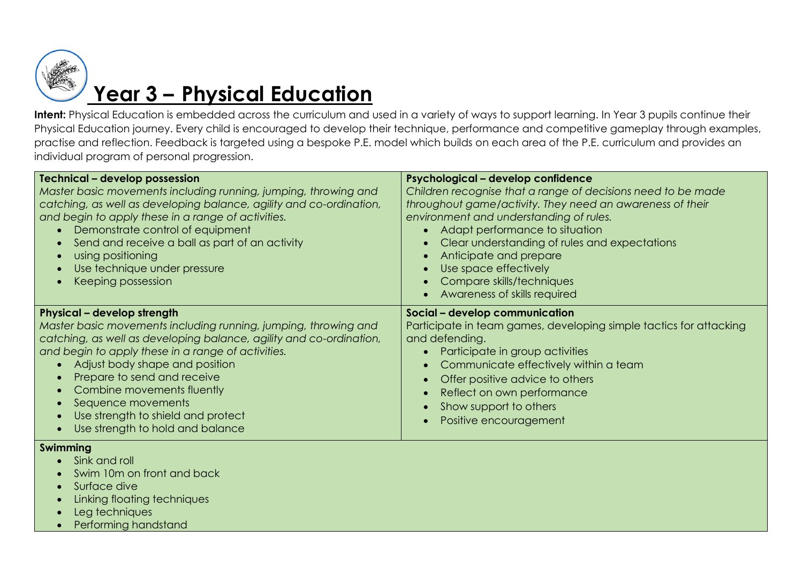

# **Year 3 – Physical Education**

Intent: Physical Education is embedded across the curriculum and used in a variety of ways to support learning. In Year 3 pupils continue their Physical Education journey. Every child is encouraged to develop their technique, performance and competitive gameplay through examples, practise and reflection. Feedback is targeted using a bespoke P.E. model which builds on each area of the P.E. curriculum and provides an individual program of personal progression.

| <b>Technical - develop possession</b><br>Master basic movements including running, jumping, throwing and<br>catching, as well as developing balance, agility and co-ordination,<br>and begin to apply these in a range of activities.<br>Demonstrate control of equipment<br>Send and receive a ball as part of an activity<br>using positioning<br>Use technique under pressure<br>Keeping possession                                                      | Psychological - develop confidence<br>Children recognise that a range of decisions need to be made<br>throughout game/activity. They need an awareness of their<br>environment and understanding of rules.<br>Adapt performance to situation<br>Clear understanding of rules and expectations<br>Anticipate and prepare<br>Use space effectively<br>Compare skills/techniques<br>Awareness of skills required |
|-------------------------------------------------------------------------------------------------------------------------------------------------------------------------------------------------------------------------------------------------------------------------------------------------------------------------------------------------------------------------------------------------------------------------------------------------------------|---------------------------------------------------------------------------------------------------------------------------------------------------------------------------------------------------------------------------------------------------------------------------------------------------------------------------------------------------------------------------------------------------------------|
| <b>Physical - develop strength</b><br>Master basic movements including running, jumping, throwing and<br>catching, as well as developing balance, agility and co-ordination,<br>and begin to apply these in a range of activities.<br>Adjust body shape and position<br>Prepare to send and receive<br>$\bullet$<br>Combine movements fluently<br>Sequence movements<br>Use strength to shield and protect<br>Use strength to hold and balance<br>$\bullet$ | Social - develop communication<br>Participate in team games, developing simple tactics for attacking<br>and defending.<br>Participate in group activities<br>Communicate effectively within a team<br>Offer positive advice to others<br>Reflect on own performance<br>Show support to others<br>Positive encouragement                                                                                       |
| Swimming<br>Sink and roll<br>Swim 10m on front and back<br>Surface dive<br>$\bullet$<br>Linking floating techniques                                                                                                                                                                                                                                                                                                                                         |                                                                                                                                                                                                                                                                                                                                                                                                               |

- Leg techniques
- Performing handstand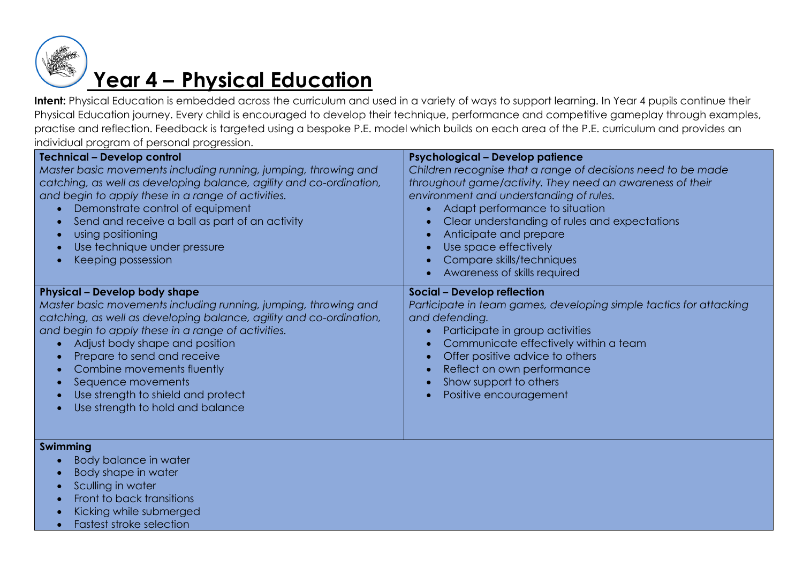

### **Year 4 – Physical Education**

Intent: Physical Education is embedded across the curriculum and used in a variety of ways to support learning. In Year 4 pupils continue their Physical Education journey. Every child is encouraged to develop their technique, performance and competitive gameplay through examples, practise and reflection. Feedback is targeted using a bespoke P.E. model which builds on each area of the P.E. curriculum and provides an individual program of personal progression.

| <b>Technical - Develop control</b><br>Master basic movements including running, jumping, throwing and<br>catching, as well as developing balance, agility and co-ordination,<br>and begin to apply these in a range of activities.<br>Demonstrate control of equipment<br>Send and receive a ball as part of an activity<br>using positioning<br>$\bullet$<br>Use technique under pressure<br>$\bullet$<br>Keeping possession                                                           | <b>Psychological - Develop patience</b><br>Children recognise that a range of decisions need to be made<br>throughout game/activity. They need an awareness of their<br>environment and understanding of rules.<br>Adapt performance to situation<br>Clear understanding of rules and expectations<br>Anticipate and prepare<br>Use space effectively<br>Compare skills/techniques<br>Awareness of skills required |
|-----------------------------------------------------------------------------------------------------------------------------------------------------------------------------------------------------------------------------------------------------------------------------------------------------------------------------------------------------------------------------------------------------------------------------------------------------------------------------------------|--------------------------------------------------------------------------------------------------------------------------------------------------------------------------------------------------------------------------------------------------------------------------------------------------------------------------------------------------------------------------------------------------------------------|
| <b>Physical - Develop body shape</b><br>Master basic movements including running, jumping, throwing and<br>catching, as well as developing balance, agility and co-ordination,<br>and begin to apply these in a range of activities.<br>Adjust body shape and position<br>$\bullet$<br>Prepare to send and receive<br>Combine movements fluently<br>$\bullet$<br>Sequence movements<br>$\bullet$<br>Use strength to shield and protect<br>$\bullet$<br>Use strength to hold and balance | <b>Social - Develop reflection</b><br>Participate in team games, developing simple tactics for attacking<br>and defending.<br>Participate in group activities<br>Communicate effectively within a team<br>Offer positive advice to others<br>Reflect on own performance<br>Show support to others<br>Positive encouragement                                                                                        |

#### **Swimming**

- Body balance in water
- Body shape in water
- Sculling in water
- Front to back transitions
- Kicking while submerged
- Fastest stroke selection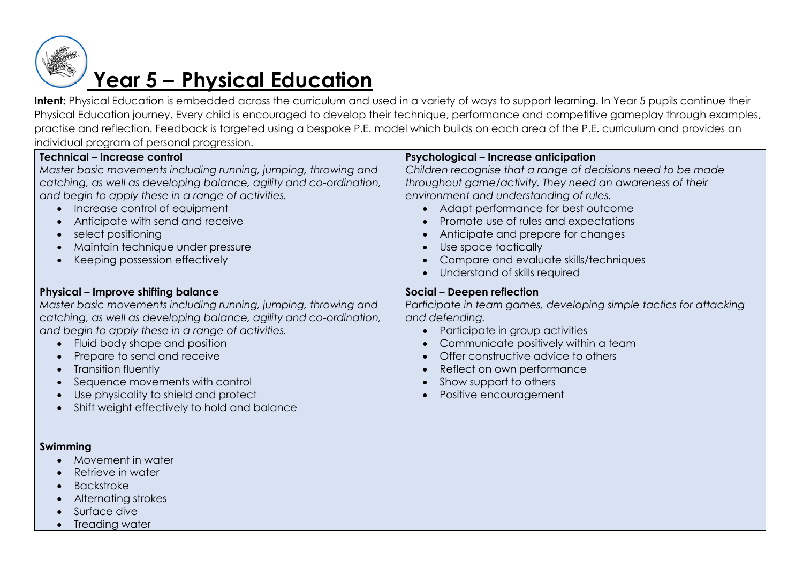

## **Year 5 – Physical Education**

Intent: Physical Education is embedded across the curriculum and used in a variety of ways to support learning. In Year 5 pupils continue their Physical Education journey. Every child is encouraged to develop their technique, performance and competitive gameplay through examples, practise and reflection. Feedback is targeted using a bespoke P.E. model which builds on each area of the P.E. curriculum and provides an individual program of personal progression.

| Technical - Increase control<br>Master basic movements including running, jumping, throwing and<br>catching, as well as developing balance, agility and co-ordination,<br>and begin to apply these in a range of activities.<br>Increase control of equipment<br>Anticipate with send and receive<br>select positioning<br>Maintain technique under pressure<br>Keeping possession effectively                                                                             | <b>Psychological - Increase anticipation</b><br>Children recognise that a range of decisions need to be made<br>throughout game/activity. They need an awareness of their<br>environment and understanding of rules.<br>Adapt performance for best outcome<br>Promote use of rules and expectations<br>Anticipate and prepare for changes<br>Use space tactically<br>Compare and evaluate skills/techniques<br>Understand of skills required |
|----------------------------------------------------------------------------------------------------------------------------------------------------------------------------------------------------------------------------------------------------------------------------------------------------------------------------------------------------------------------------------------------------------------------------------------------------------------------------|----------------------------------------------------------------------------------------------------------------------------------------------------------------------------------------------------------------------------------------------------------------------------------------------------------------------------------------------------------------------------------------------------------------------------------------------|
| <b>Physical - Improve shifting balance</b><br>Master basic movements including running, jumping, throwing and<br>catching, as well as developing balance, agility and co-ordination,<br>and begin to apply these in a range of activities.<br>Fluid body shape and position<br>Prepare to send and receive<br>Transition fluently<br>$\bullet$<br>Sequence movements with control<br>Use physicality to shield and protect<br>Shift weight effectively to hold and balance | Social - Deepen reflection<br>Participate in team games, developing simple tactics for attacking<br>and defending.<br>Participate in group activities<br>Communicate positively within a team<br>Offer constructive advice to others<br>Reflect on own performance<br>Show support to others<br>Positive encouragement                                                                                                                       |

#### **Swimming**

- Movement in water
- Retrieve in water
- Backstroke
- Alternating strokes
- Surface dive
- Treading water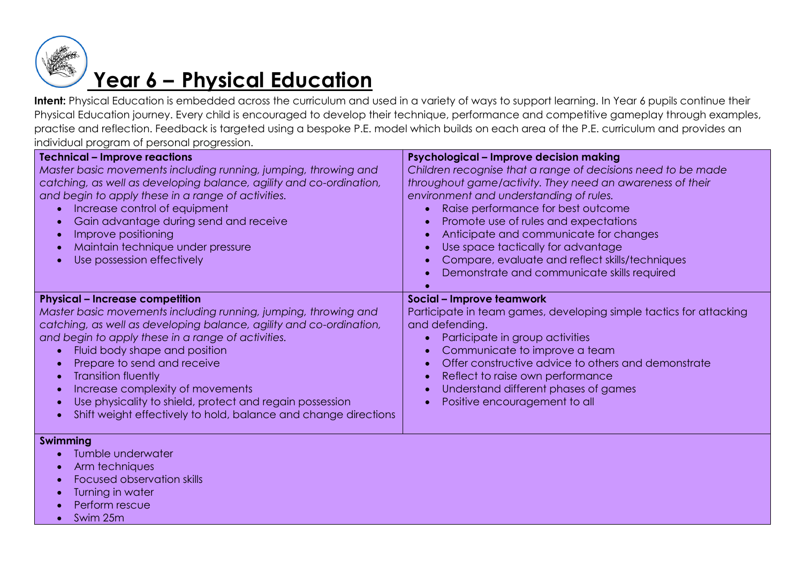

### **Year 6 – Physical Education**

Intent: Physical Education is embedded across the curriculum and used in a variety of ways to support learning. In Year 6 pupils continue their Physical Education journey. Every child is encouraged to develop their technique, performance and competitive gameplay through examples, practise and reflection. Feedback is targeted using a bespoke P.E. model which builds on each area of the P.E. curriculum and provides an individual program of personal progression.

| <b>Technical - Improve reactions</b>                                                                                                                                                                                                                                                                                                                                                                                                                                                                    | Psychological - Improve decision making                                                                                                                                                                                                                                                                                                                                                                                               |  |
|---------------------------------------------------------------------------------------------------------------------------------------------------------------------------------------------------------------------------------------------------------------------------------------------------------------------------------------------------------------------------------------------------------------------------------------------------------------------------------------------------------|---------------------------------------------------------------------------------------------------------------------------------------------------------------------------------------------------------------------------------------------------------------------------------------------------------------------------------------------------------------------------------------------------------------------------------------|--|
| Master basic movements including running, jumping, throwing and<br>catching, as well as developing balance, agility and co-ordination,<br>and begin to apply these in a range of activities.<br>Increase control of equipment<br>Gain advantage during send and receive<br>Improve positioning<br>Maintain technique under pressure<br>Use possession effectively                                                                                                                                       | Children recognise that a range of decisions need to be made<br>throughout game/activity. They need an awareness of their<br>environment and understanding of rules.<br>Raise performance for best outcome<br>Promote use of rules and expectations<br>Anticipate and communicate for changes<br>Use space tactically for advantage<br>Compare, evaluate and reflect skills/techniques<br>Demonstrate and communicate skills required |  |
| <b>Physical - Increase competition</b><br>Master basic movements including running, jumping, throwing and<br>catching, as well as developing balance, agility and co-ordination,<br>and begin to apply these in a range of activities.<br>Fluid body shape and position<br>Prepare to send and receive<br><b>Transition fluently</b><br>Increase complexity of movements<br>Use physicality to shield, protect and regain possession<br>Shift weight effectively to hold, balance and change directions | Social - Improve teamwork<br>Participate in team games, developing simple tactics for attacking<br>and defending.<br>Participate in group activities<br>Communicate to improve a team<br>Offer constructive advice to others and demonstrate<br>Reflect to raise own performance<br>Understand different phases of games<br>Positive encouragement to all                                                                             |  |

#### **Swimming**

- Tumble underwater
- Arm techniques
- Focused observation skills
- Turning in water
- Perform rescue
- Swim 25m